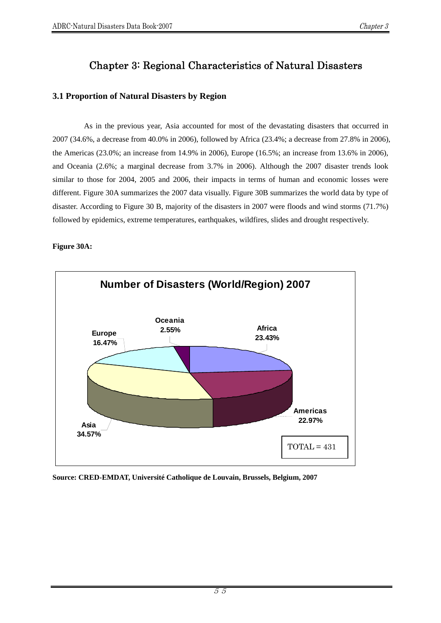# Chapter 3: Regional Characteristics of Natural Disasters

# **3.1 Proportion of Natural Disasters by Region**

As in the previous year, Asia accounted for most of the devastating disasters that occurred in 2007 (34.6%, a decrease from 40.0% in 2006), followed by Africa (23.4%; a decrease from 27.8% in 2006), the Americas (23.0%; an increase from 14.9% in 2006), Europe (16.5%; an increase from 13.6% in 2006), and Oceania (2.6%; a marginal decrease from 3.7% in 2006). Although the 2007 disaster trends look similar to those for 2004, 2005 and 2006, their impacts in terms of human and economic losses were different. Figure 30A summarizes the 2007 data visually. Figure 30B summarizes the world data by type of disaster. According to Figure 30 B, majority of the disasters in 2007 were floods and wind storms (71.7%) followed by epidemics, extreme temperatures, earthquakes, wildfires, slides and drought respectively.

### **Figure 30A:**

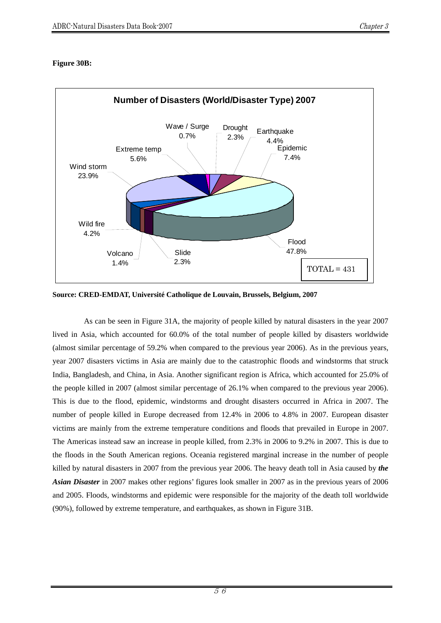# **Figure 30B:**



**Source: CRED-EMDAT, Université Catholique de Louvain, Brussels, Belgium, 2007** 

As can be seen in Figure 31A, the majority of people killed by natural disasters in the year 2007 lived in Asia, which accounted for 60.0% of the total number of people killed by disasters worldwide (almost similar percentage of 59.2% when compared to the previous year 2006). As in the previous years, year 2007 disasters victims in Asia are mainly due to the catastrophic floods and windstorms that struck India, Bangladesh, and China, in Asia. Another significant region is Africa, which accounted for 25.0% of the people killed in 2007 (almost similar percentage of 26.1% when compared to the previous year 2006). This is due to the flood, epidemic, windstorms and drought disasters occurred in Africa in 2007. The number of people killed in Europe decreased from 12.4% in 2006 to 4.8% in 2007. European disaster victims are mainly from the extreme temperature conditions and floods that prevailed in Europe in 2007. The Americas instead saw an increase in people killed, from 2.3% in 2006 to 9.2% in 2007. This is due to the floods in the South American regions. Oceania registered marginal increase in the number of people killed by natural disasters in 2007 from the previous year 2006. The heavy death toll in Asia caused by *the Asian Disaster* in 2007 makes other regions' figures look smaller in 2007 as in the previous years of 2006 and 2005. Floods, windstorms and epidemic were responsible for the majority of the death toll worldwide (90%), followed by extreme temperature, and earthquakes, as shown in Figure 31B.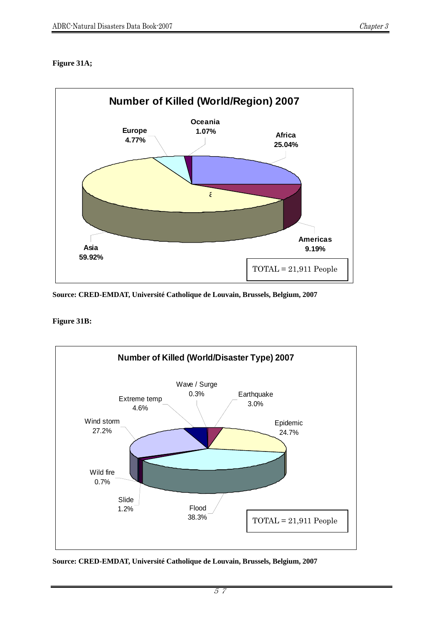# **Figure 31A;**



**Source: CRED-EMDAT, Université Catholique de Louvain, Brussels, Belgium, 2007** 

**Figure 31B:** 



**Source: CRED-EMDAT, Université Catholique de Louvain, Brussels, Belgium, 2007**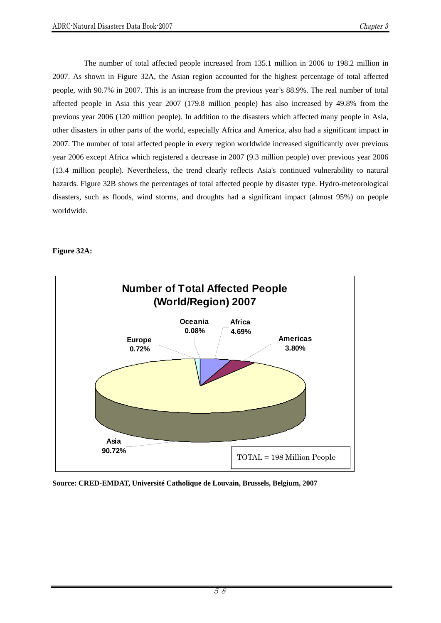The number of total affected people increased from 135.1 million in 2006 to 198.2 million in 2007. As shown in Figure 32A, the Asian region accounted for the highest percentage of total affected people, with 90.7% in 2007. This is an increase from the previous year's 88.9%. The real number of total affected people in Asia this year 2007 (179.8 million people) has also increased by 49.8% from the previous year 2006 (120 million people). In addition to the disasters which affected many people in Asia, other disasters in other parts of the world, especially Africa and America, also had a significant impact in 2007. The number of total affected people in every region worldwide increased significantly over previous year 2006 except Africa which registered a decrease in 2007 (9.3 million people) over previous year 2006 (13.4 million people). Nevertheless, the trend clearly reflects Asia's continued vulnerability to natural hazards. Figure 32B shows the percentages of total affected people by disaster type. Hydro-meteorological disasters, such as floods, wind storms, and droughts had a significant impact (almost 95%) on people worldwide.

### **Figure 32A:**

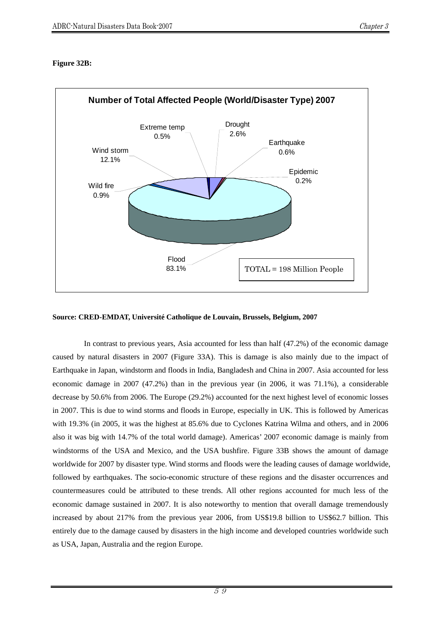# **Figure 32B:**



#### **Source: CRED-EMDAT, Université Catholique de Louvain, Brussels, Belgium, 2007**

In contrast to previous years, Asia accounted for less than half (47.2%) of the economic damage caused by natural disasters in 2007 (Figure 33A). This is damage is also mainly due to the impact of Earthquake in Japan, windstorm and floods in India, Bangladesh and China in 2007. Asia accounted for less economic damage in 2007 (47.2%) than in the previous year (in 2006, it was 71.1%), a considerable decrease by 50.6% from 2006. The Europe (29.2%) accounted for the next highest level of economic losses in 2007. This is due to wind storms and floods in Europe, especially in UK. This is followed by Americas with 19.3% (in 2005, it was the highest at 85.6% due to Cyclones Katrina Wilma and others, and in 2006 also it was big with 14.7% of the total world damage). Americas' 2007 economic damage is mainly from windstorms of the USA and Mexico, and the USA bushfire. Figure 33B shows the amount of damage worldwide for 2007 by disaster type. Wind storms and floods were the leading causes of damage worldwide, followed by earthquakes. The socio-economic structure of these regions and the disaster occurrences and countermeasures could be attributed to these trends. All other regions accounted for much less of the economic damage sustained in 2007. It is also noteworthy to mention that overall damage tremendously increased by about 217% from the previous year 2006, from US\$19.8 billion to US\$62.7 billion. This entirely due to the damage caused by disasters in the high income and developed countries worldwide such as USA, Japan, Australia and the region Europe.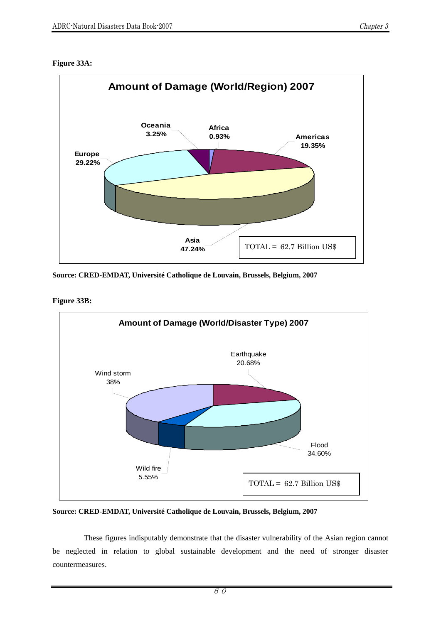### **Figure 33A:**



**Source: CRED-EMDAT, Université Catholique de Louvain, Brussels, Belgium, 2007** 

**Figure 33B:** 



**Source: CRED-EMDAT, Université Catholique de Louvain, Brussels, Belgium, 2007** 

 These figures indisputably demonstrate that the disaster vulnerability of the Asian region cannot be neglected in relation to global sustainable development and the need of stronger disaster countermeasures.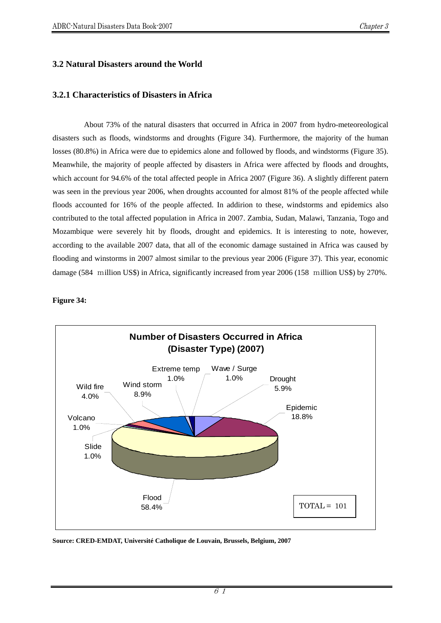# **3.2 Natural Disasters around the World**

# **3.2.1 Characteristics of Disasters in Africa**

About 73% of the natural disasters that occurred in Africa in 2007 from hydro-meteoreological disasters such as floods, windstorms and droughts (Figure 34). Furthermore, the majority of the human losses (80.8%) in Africa were due to epidemics alone and followed by floods, and windstorms (Figure 35). Meanwhile, the majority of people affected by disasters in Africa were affected by floods and droughts, which account for 94.6% of the total affected people in Africa 2007 (Figure 36). A slightly different patern was seen in the previous year 2006, when droughts accounted for almost 81% of the people affected while floods accounted for 16% of the people affected. In addirion to these, windstorms and epidemics also contributed to the total affected population in Africa in 2007. Zambia, Sudan, Malawi, Tanzania, Togo and Mozambique were severely hit by floods, drought and epidemics. It is interesting to note, however, according to the available 2007 data, that all of the economic damage sustained in Africa was caused by flooding and winstorms in 2007 almost similar to the previous year 2006 (Figure 37). This year, economic damage (584 million US\$) in Africa, significantly increased from year 2006 (158 million US\$) by 270%.

**Figure 34:**

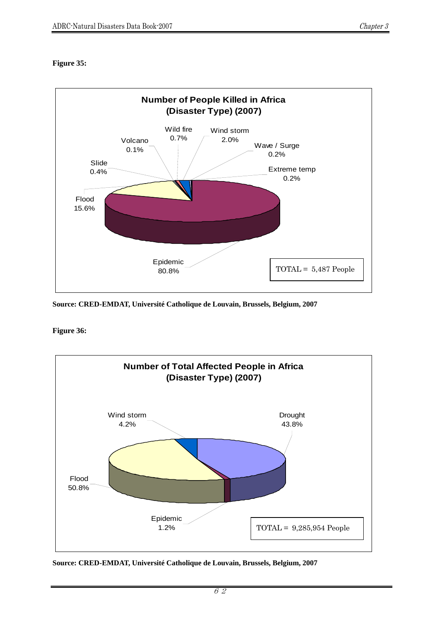# **Figure 35:**



**Source: CRED-EMDAT, Université Catholique de Louvain, Brussels, Belgium, 2007** 

**Figure 36:** 



**Source: CRED-EMDAT, Université Catholique de Louvain, Brussels, Belgium, 2007**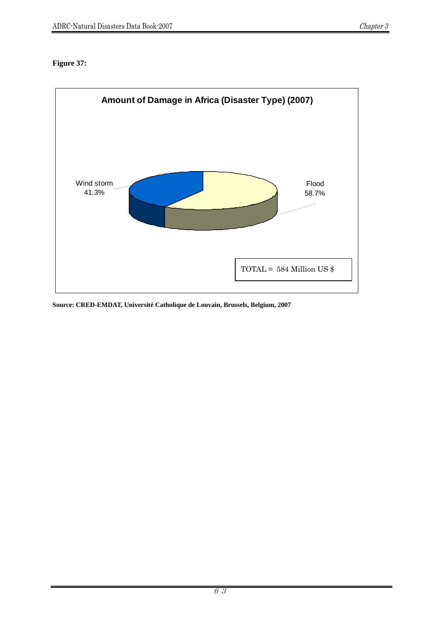# **Figure 37:**

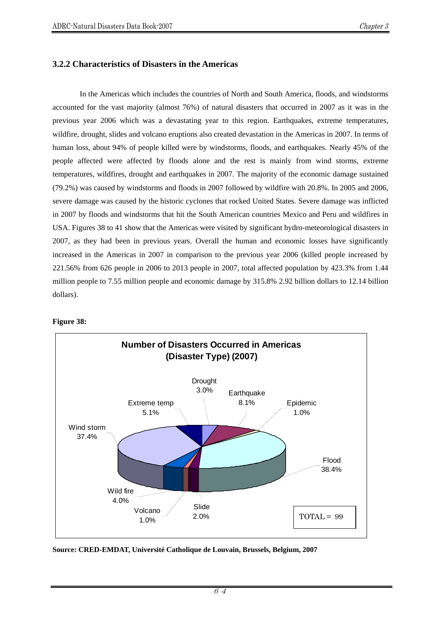# **3.2.2 Characteristics of Disasters in the Americas**

In the Americas which includes the countries of North and South America, floods, and windstorms accounted for the vast majority (almost 76%) of natural disasters that occurred in 2007 as it was in the previous year 2006 which was a devastating year to this region. Earthquakes, extreme temperatures, wildfire, drought, slides and volcano eruptions also created devastation in the Americas in 2007. In terms of human loss, about 94% of people killed were by windstorms, floods, and earthquakes. Nearly 45% of the people affected were affected by floods alone and the rest is mainly from wind storms, extreme temperatures, wildfires, drought and earthquakes in 2007. The majority of the economic damage sustained (79.2%) was caused by windstorms and floods in 2007 followed by wildfire with 20.8%. In 2005 and 2006, severe damage was caused by the historic cyclones that rocked United States. Severe damage was inflicted in 2007 by floods and windstorms that hit the South American countries Mexico and Peru and wildfires in USA. Figures 38 to 41 show that the Americas were visited by significant hydro-meteorological disasters in 2007, as they had been in previous years. Overall the human and economic losses have significantly increased in the Americas in 2007 in comparison to the previous year 2006 (killed people increased by 221.56% from 626 people in 2006 to 2013 people in 2007, total affected population by 423.3% from 1.44 million people to 7.55 million people and economic damage by 315.8% 2.92 billion dollars to 12.14 billion dollars).

#### **Figure 38:**

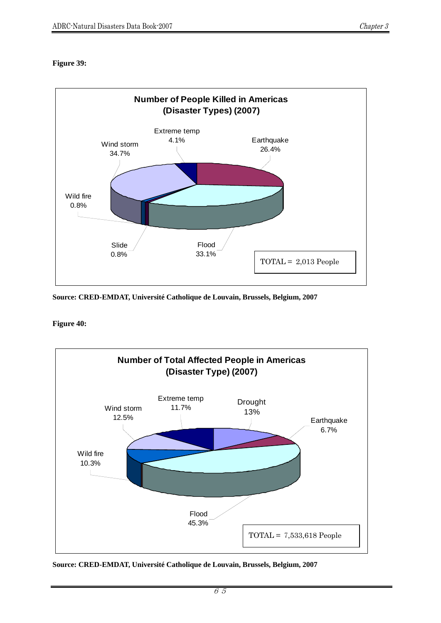# **Figure 39:**



**Source: CRED-EMDAT, Université Catholique de Louvain, Brussels, Belgium, 2007**

**Figure 40:**

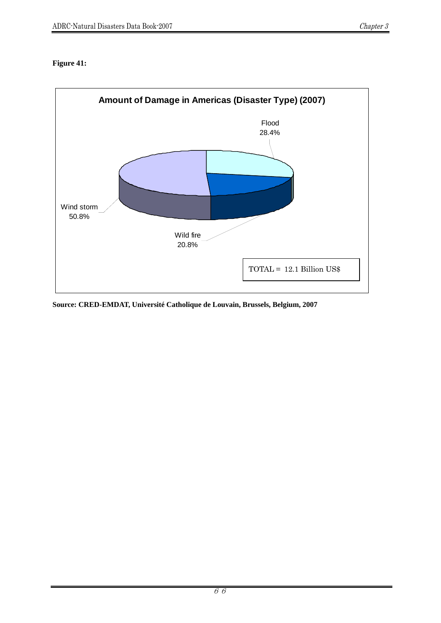# **Figure 41:**

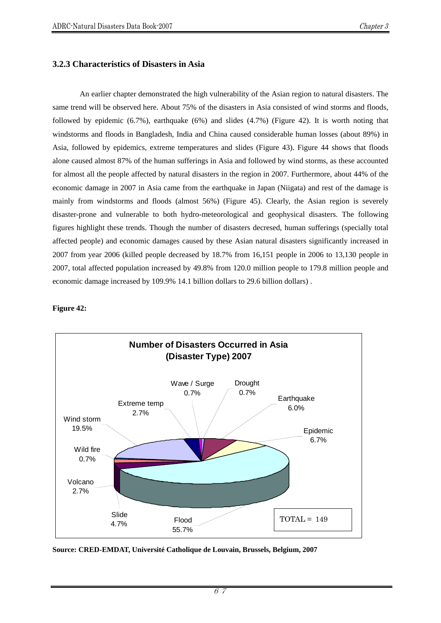# **3.2.3 Characteristics of Disasters in Asia**

An earlier chapter demonstrated the high vulnerability of the Asian region to natural disasters. The same trend will be observed here. About 75% of the disasters in Asia consisted of wind storms and floods, followed by epidemic (6.7%), earthquake (6%) and slides (4.7%) (Figure 42). It is worth noting that windstorms and floods in Bangladesh, India and China caused considerable human losses (about 89%) in Asia, followed by epidemics, extreme temperatures and slides (Figure 43). Figure 44 shows that floods alone caused almost 87% of the human sufferings in Asia and followed by wind storms, as these accounted for almost all the people affected by natural disasters in the region in 2007. Furthermore, about 44% of the economic damage in 2007 in Asia came from the earthquake in Japan (Niigata) and rest of the damage is mainly from windstorms and floods (almost 56%) (Figure 45). Clearly, the Asian region is severely disaster-prone and vulnerable to both hydro-meteorological and geophysical disasters. The following figures highlight these trends. Though the number of disasters decresed, human sufferings (specially total affected people) and economic damages caused by these Asian natural disasters significantly increased in 2007 from year 2006 (killed people decreased by 18.7% from 16,151 people in 2006 to 13,130 people in 2007, total affected population increased by 49.8% from 120.0 million people to 179.8 million people and economic damage increased by 109.9% 14.1 billion dollars to 29.6 billion dollars) .

### **Figure 42:**

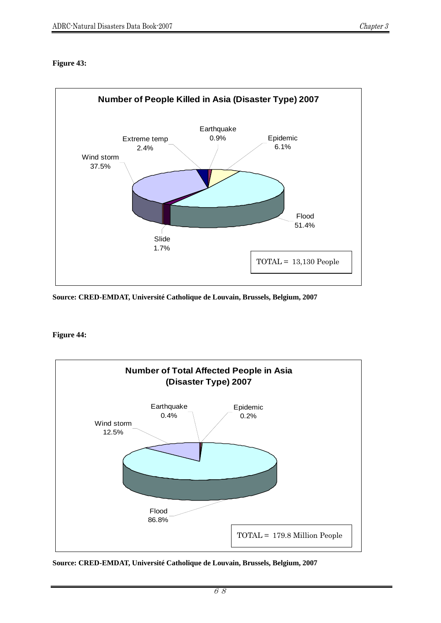# **Figure 43:**



**Source: CRED-EMDAT, Université Catholique de Louvain, Brussels, Belgium, 2007** 

### **Figure 44:**



**Source: CRED-EMDAT, Université Catholique de Louvain, Brussels, Belgium, 2007**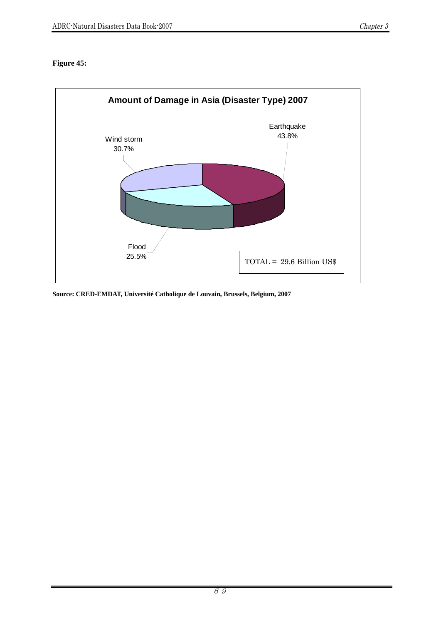# **Figure 45:**

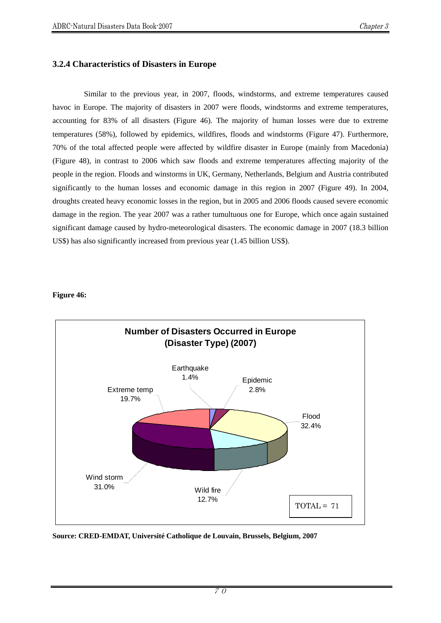# **3.2.4 Characteristics of Disasters in Europe**

Similar to the previous year, in 2007, floods, windstorms, and extreme temperatures caused havoc in Europe. The majority of disasters in 2007 were floods, windstorms and extreme temperatures, accounting for 83% of all disasters (Figure 46). The majority of human losses were due to extreme temperatures (58%), followed by epidemics, wildfires, floods and windstorms (Figure 47). Furthermore, 70% of the total affected people were affected by wildfire disaster in Europe (mainly from Macedonia) (Figure 48), in contrast to 2006 which saw floods and extreme temperatures affecting majority of the people in the region. Floods and winstorms in UK, Germany, Netherlands, Belgium and Austria contributed significantly to the human losses and economic damage in this region in 2007 (Figure 49). In 2004, droughts created heavy economic losses in the region, but in 2005 and 2006 floods caused severe economic damage in the region. The year 2007 was a rather tumultuous one for Europe, which once again sustained significant damage caused by hydro-meteorological disasters. The economic damage in 2007 (18.3 billion US\$) has also significantly increased from previous year (1.45 billion US\$).

### **Figure 46:**

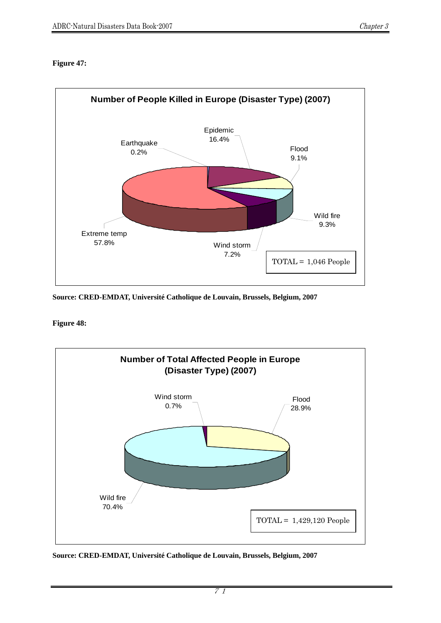# **Figure 47:**



**Source: CRED-EMDAT, Université Catholique de Louvain, Brussels, Belgium, 2007** 

**Figure 48:**



**Source: CRED-EMDAT, Université Catholique de Louvain, Brussels, Belgium, 2007**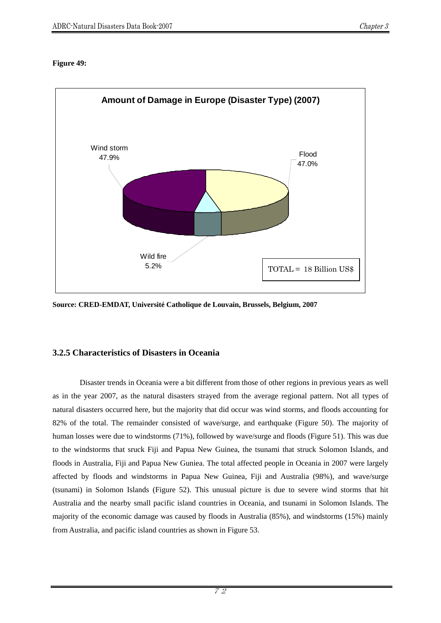### **Figure 49:**



**Source: CRED-EMDAT, Université Catholique de Louvain, Brussels, Belgium, 2007** 

# **3.2.5 Characteristics of Disasters in Oceania**

Disaster trends in Oceania were a bit different from those of other regions in previous years as well as in the year 2007, as the natural disasters strayed from the average regional pattern. Not all types of natural disasters occurred here, but the majority that did occur was wind storms, and floods accounting for 82% of the total. The remainder consisted of wave/surge, and earthquake (Figure 50). The majority of human losses were due to windstorms (71%), followed by wave/surge and floods (Figure 51). This was due to the windstorms that sruck Fiji and Papua New Guinea, the tsunami that struck Solomon Islands, and floods in Australia, Fiji and Papua New Guniea. The total affected people in Oceania in 2007 were largely affected by floods and windstorms in Papua New Guinea, Fiji and Australia (98%), and wave/surge (tsunami) in Solomon Islands (Figure 52). This unusual picture is due to severe wind storms that hit Australia and the nearby small pacific island countries in Oceania, and tsunami in Solomon Islands. The majority of the economic damage was caused by floods in Australia (85%), and windstorms (15%) mainly from Australia, and pacific island countries as shown in Figure 53.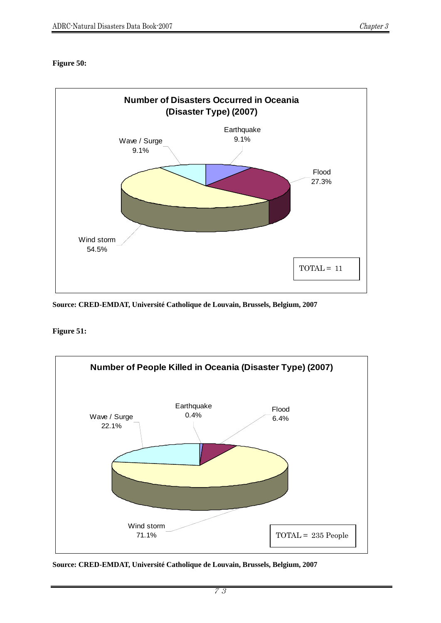# **Figure 50:**



**Source: CRED-EMDAT, Université Catholique de Louvain, Brussels, Belgium, 2007** 

**Figure 51:**



**Source: CRED-EMDAT, Université Catholique de Louvain, Brussels, Belgium, 2007**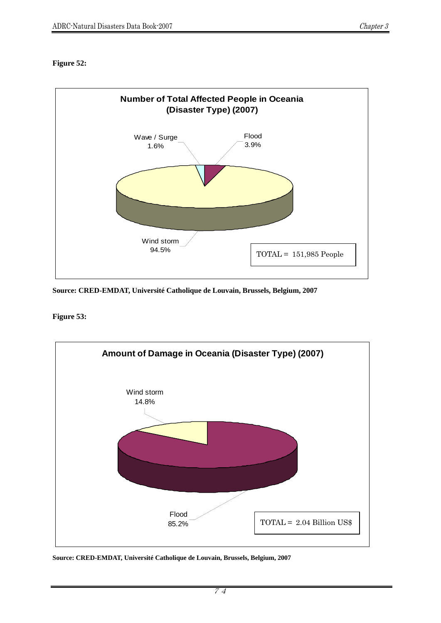# **Figure 52:**



**Source: CRED-EMDAT, Université Catholique de Louvain, Brussels, Belgium, 2007** 

**Figure 53:**



**Source: CRED-EMDAT, Université Catholique de Louvain, Brussels, Belgium, 2007** 

74